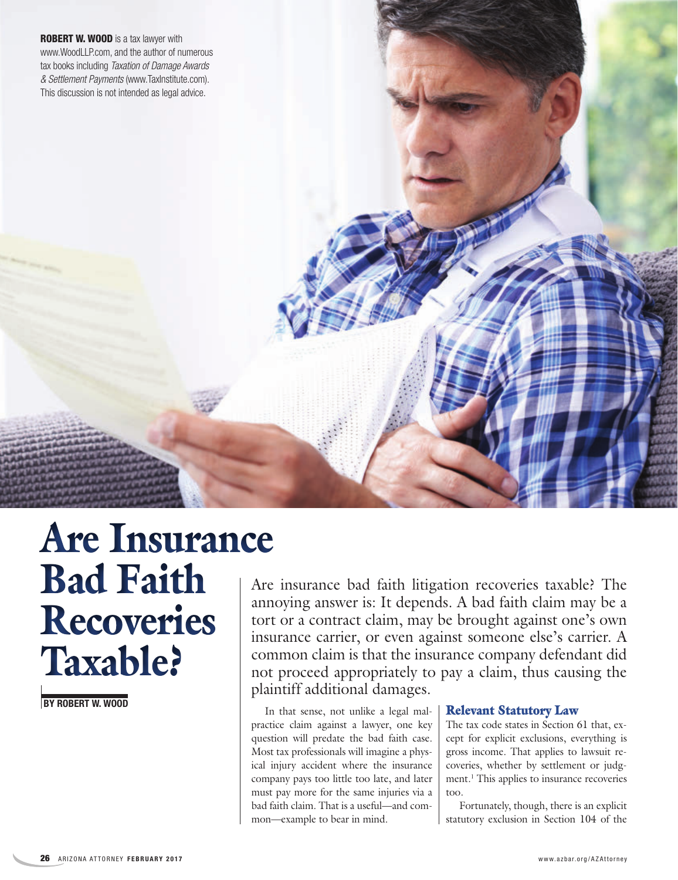**ROBERT W. WOOD** is a tax lawyer with www.WoodLLP.com, and the author of numerous tax books including *Taxation of Damage Awards & Settlement Payments* (www.TaxInstitute.com). This discussion is not intended as legal advice.

# Are Insurance Bad Faith Recoveries Taxable?

**BY ROBERT W. WOOD**

Are insurance bad faith litigation recoveries taxable? The annoying answer is: It depends. A bad faith claim may be a tort or a contract claim, may be brought against one's own insurance carrier, or even against someone else's carrier. A common claim is that the insurance company defendant did not proceed appropriately to pay a claim, thus causing the plaintiff additional damages.

In that sense, not unlike a legal malpractice claim against a lawyer, one key question will predate the bad faith case. Most tax professionals will imagine a physical injury accident where the insurance company pays too little too late, and later must pay more for the same injuries via a bad faith claim. That is a useful—and common—example to bear in mind.

### Relevant Statutory Law

The tax code states in Section 61 that, except for explicit exclusions, everything is gross income. That applies to lawsuit recoveries, whether by settlement or judgment.<sup>1</sup> This applies to insurance recoveries too.

Fortunately, though, there is an explicit statutory exclusion in Section 104 of the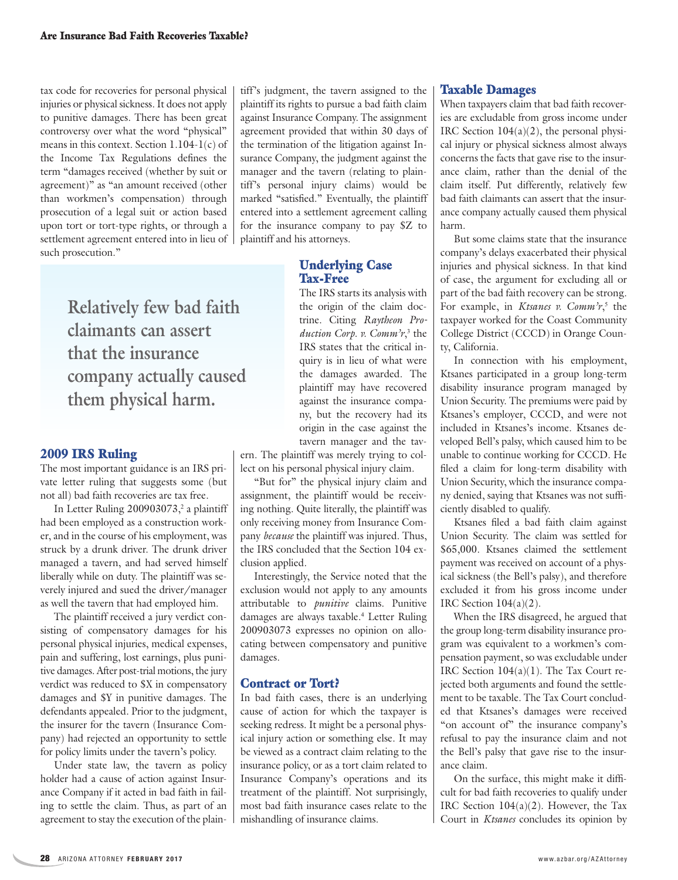tax code for recoveries for personal physical injuries or physical sickness. It does not apply to punitive damages. There has been great controversy over what the word "physical" means in this context. Section  $1.104-1(c)$  of the Income Tax Regulations defines the term "damages received (whether by suit or agreement)" as "an amount received (other than workmen's compensation) through prosecution of a legal suit or action based upon tort or tort-type rights, or through a settlement agreement entered into in lieu of such prosecution."

> **Relatively few bad faith claimants can assert that the insurance company actually caused them physical harm.**

### 2009 IRS Ruling

The most important guidance is an IRS private letter ruling that suggests some (but not all) bad faith recoveries are tax free.

In Letter Ruling 200903073,<sup>2</sup> a plaintiff had been employed as a construction worker, and in the course of his employment, was struck by a drunk driver. The drunk driver managed a tavern, and had served himself liberally while on duty. The plaintiff was severely injured and sued the driver/manager as well the tavern that had employed him.

The plaintiff received a jury verdict consisting of compensatory damages for his personal physical injuries, medical expenses, pain and suffering, lost earnings, plus punitive damages. After post-trial motions, the jury verdict was reduced to \$X in compensatory damages and \$Y in punitive damages. The defendants appealed. Prior to the judgment, the insurer for the tavern (Insurance Company) had rejected an opportunity to settle for policy limits under the tavern's policy.

Under state law, the tavern as policy holder had a cause of action against Insurance Company if it acted in bad faith in failing to settle the claim. Thus, as part of an agreement to stay the execution of the plaintiff's judgment, the tavern assigned to the plaintiff its rights to pursue a bad faith claim against Insurance Company. The assignment agreement provided that within 30 days of the termination of the litigation against Insurance Company, the judgment against the manager and the tavern (relating to plaintiff's personal injury claims) would be marked "satisfied." Eventually, the plaintiff entered into a settlement agreement calling for the insurance company to pay \$Z to plaintiff and his attorneys.

## Underlying Case Tax-Free

The IRS starts its analysis with the origin of the claim doctrine. Citing *Raytheon Production Corp. v. Comm'r*, 3 the IRS states that the critical inquiry is in lieu of what were the damages awarded. The plaintiff may have recovered against the insurance company, but the recovery had its origin in the case against the tavern manager and the tav-

ern. The plaintiff was merely trying to collect on his personal physical injury claim.

"But for" the physical injury claim and assignment, the plaintiff would be receiving nothing. Quite literally, the plaintiff was only receiving money from Insurance Company *because* the plaintiff was injured. Thus, the IRS concluded that the Section 104 exclusion applied.

Interestingly, the Service noted that the exclusion would not apply to any amounts attributable to *punitive* claims. Punitive damages are always taxable.<sup>4</sup> Letter Ruling 200903073 expresses no opinion on allocating between compensatory and punitive damages.

### Contract or Tort?

In bad faith cases, there is an underlying cause of action for which the taxpayer is seeking redress. It might be a personal physical injury action or something else. It may be viewed as a contract claim relating to the insurance policy, or as a tort claim related to Insurance Company's operations and its treatment of the plaintiff. Not surprisingly, most bad faith insurance cases relate to the mishandling of insurance claims.

## Taxable Damages

When taxpayers claim that bad faith recoveries are excludable from gross income under IRC Section  $104(a)(2)$ , the personal physical injury or physical sickness almost always concerns the facts that gave rise to the insurance claim, rather than the denial of the claim itself. Put differently, relatively few bad faith claimants can assert that the insurance company actually caused them physical harm.

But some claims state that the insurance company's delays exacerbated their physical injuries and physical sickness. In that kind of case, the argument for excluding all or part of the bad faith recovery can be strong. For example, in *Ktsanes v. Comm'r*, 5 the taxpayer worked for the Coast Community College District (CCCD) in Orange County, California.

In connection with his employment, Ktsanes participated in a group long-term disability insurance program managed by Union Security. The premiums were paid by Ktsanes's employer, CCCD, and were not included in Ktsanes's income. Ktsanes developed Bell's palsy, which caused him to be unable to continue working for CCCD. He filed a claim for long-term disability with Union Security, which the insurance company denied, saying that Ktsanes was not sufficiently disabled to qualify.

Ktsanes filed a bad faith claim against Union Security. The claim was settled for \$65,000. Ktsanes claimed the settlement payment was received on account of a physical sickness (the Bell's palsy), and therefore excluded it from his gross income under IRC Section 104(a)(2).

When the IRS disagreed, he argued that the group long-term disability insurance program was equivalent to a workmen's compensation payment, so was excludable under IRC Section 104(a)(1). The Tax Court rejected both arguments and found the settlement to be taxable. The Tax Court concluded that Ktsanes's damages were received "on account of" the insurance company's refusal to pay the insurance claim and not the Bell's palsy that gave rise to the insurance claim.

On the surface, this might make it difficult for bad faith recoveries to qualify under IRC Section 104(a)(2). However, the Tax Court in *Ktsanes* concludes its opinion by